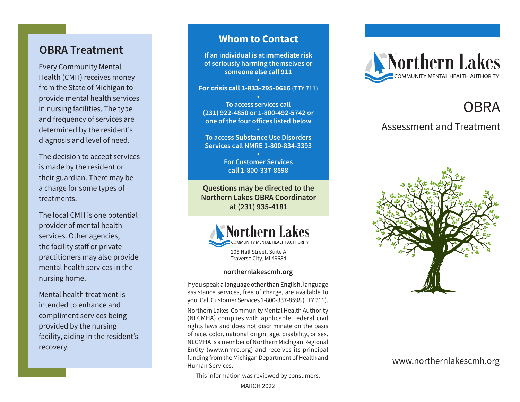## **OBRA Treatment**

Every Community Mental Health (CMH) receives money from the State of Michigan to provide mental health services in nursing facilities. The type and frequency of services are determined by the resident's diagnosis and level of need.

The decision to accept services is made by the resident or their guardian. There may be a charge for some types of treatments.

The local CMH is one potential provider of mental health services. Other agencies, the facility staff or private practitioners may also provide mental health services in the nursing home.

Mental health treatment is intended to enhance and compliment services being provided by the nursing facility, aiding in the resident's recovery.

### **Whom to Contact**

**If an individual is at immediate risk of seriously harming themselves or someone else call 911 •**

#### **For crisis call 1-833-295-0616 (TTY 711)**

**• To access services call (231) 922-4850 or 1-800-492-5742 or one of the four offices listed below**

**• To access Substance Use Disorders Services call NMRE 1-800-834-3393**

> **• For Customer Services call 1-800-337-8598**

**Questions may be directed to the Northern Lakes OBRA Coordinator at (231) 935-4181**



105 Hall Street, Suite A Traverse City, MI 49684

#### **northernlakescmh.org**

If you speak a language other than English, language assistance services, free of charge, are available to you. Call Customer Services 1-800-337-8598 (TTY 711).

Northern Lakes Community Mental Health Authority (NLCMHA) complies with applicable Federal civil rights laws and does not discriminate on the basis of race, color, national origin, age, disability, or sex. NLCMHA is a member of Northern Michigan Regional Entity (www.nmre.org) and receives its principal funding from the Michigan Department of Health and Human Services.

This information was reviewed by consumers.



# **OBRA**

### Assessment and Treatment



www.northernlakescmh.org